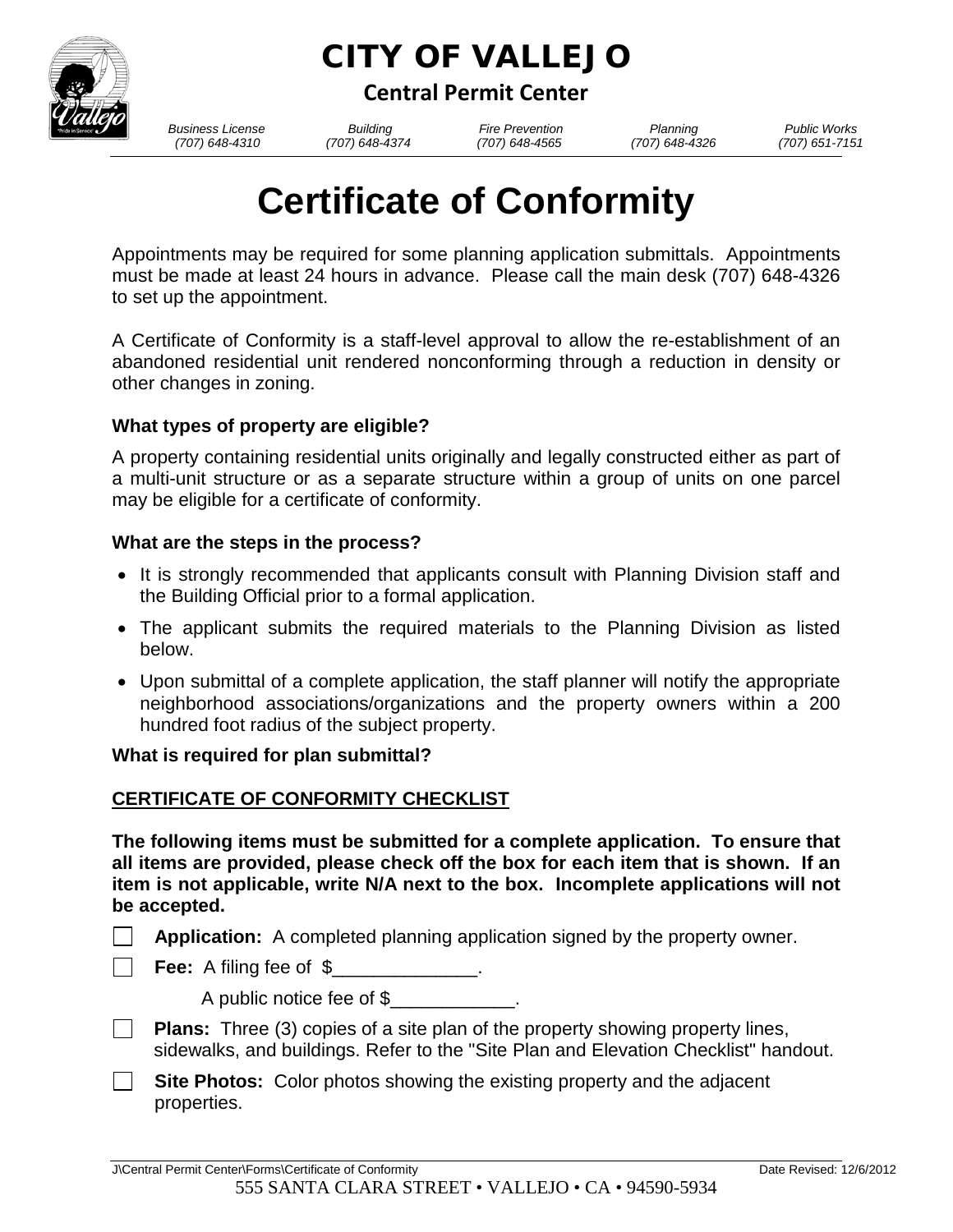

# CITY OF VALLEJO

**Central Permit Center**

*Business License Building Fire Prevention Planning Public Works*

 *(707) 648-4310 (707) 648-4374 (707) 648-4565 (707) 648-4326 (707) 651-7151*

# **Certificate of Conformity**

Appointments may be required for some planning application submittals. Appointments must be made at least 24 hours in advance. Please call the main desk (707) 648-4326 to set up the appointment.

A Certificate of Conformity is a staff-level approval to allow the re-establishment of an abandoned residential unit rendered nonconforming through a reduction in density or other changes in zoning.

# **What types of property are eligible?**

A property containing residential units originally and legally constructed either as part of a multi-unit structure or as a separate structure within a group of units on one parcel may be eligible for a certificate of conformity.

# **What are the steps in the process?**

- It is strongly recommended that applicants consult with Planning Division staff and the Building Official prior to a formal application.
- The applicant submits the required materials to the Planning Division as listed below.
- Upon submittal of a complete application, the staff planner will notify the appropriate neighborhood associations/organizations and the property owners within a 200 hundred foot radius of the subject property.

#### **What is required for plan submittal?**

# **CERTIFICATE OF CONFORMITY CHECKLIST**

**The following items must be submitted for a complete application. To ensure that all items are provided, please check off the box for each item that is shown. If an item is not applicable, write N/A next to the box. Incomplete applications will not be accepted.** 

- **Application:** A completed planning application signed by the property owner.
- **Fee:** A filing fee of \$

A public notice fee of \$

- $\Box$ **Plans:** Three (3) copies of a site plan of the property showing property lines, sidewalks, and buildings. Refer to the "Site Plan and Elevation Checklist" handout.
- **Site Photos:** Color photos showing the existing property and the adjacent  $\Box$ properties.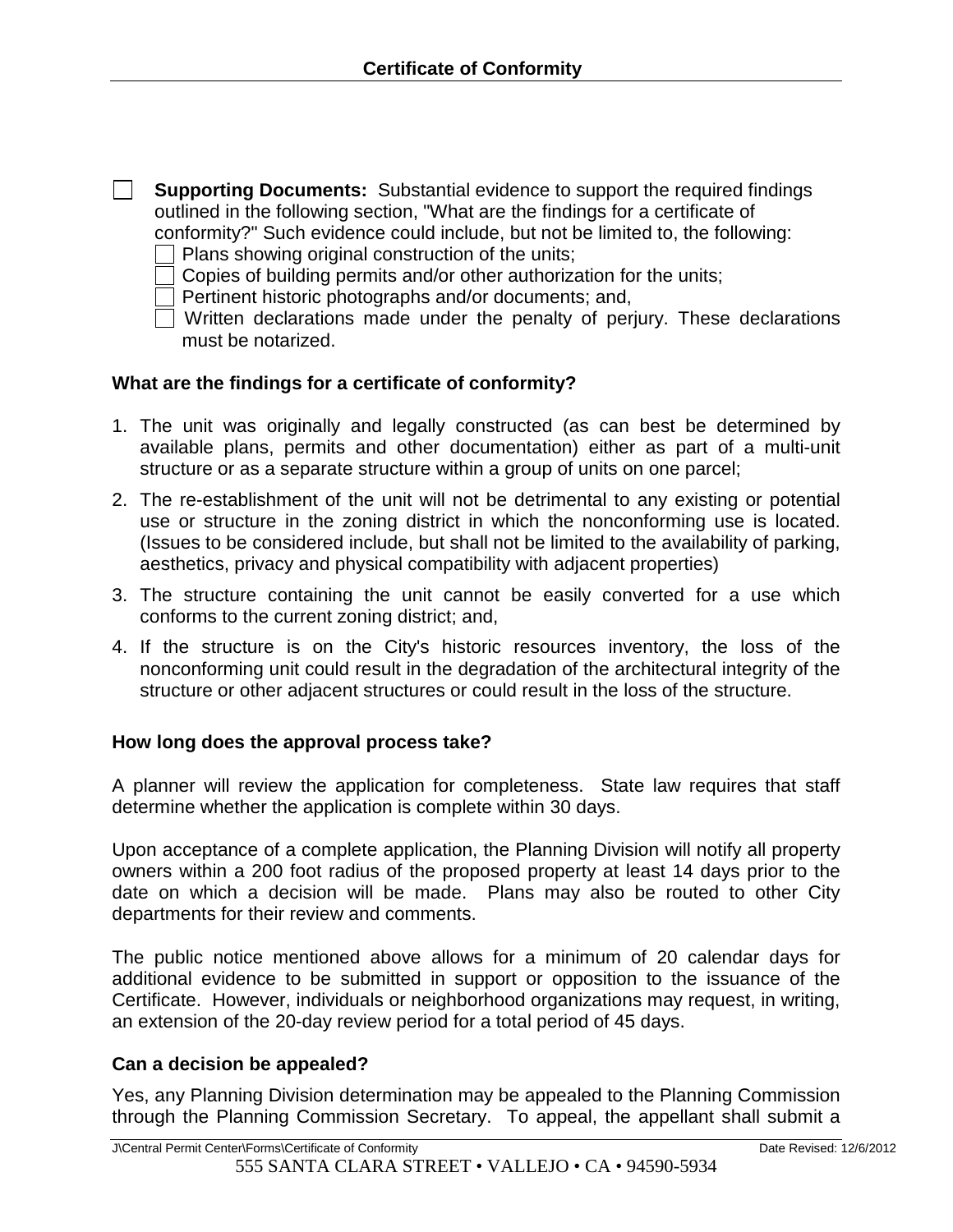| <b>Supporting Documents:</b> Substantial evidence to support the required findings |
|------------------------------------------------------------------------------------|
| outlined in the following section, "What are the findings for a certificate of     |
| conformity?" Such evidence could include, but not be limited to, the following:    |

- $\Box$  Plans showing original construction of the units;
- Copies of building permits and/or other authorization for the units;
- $\overline{\overline{\mathsf{I}}}$  Pertinent historic photographs and/or documents; and,
- $\overline{\Box}$  Written declarations made under the penalty of perjury. These declarations must be notarized.

#### **What are the findings for a certificate of conformity?**

- 1. The unit was originally and legally constructed (as can best be determined by available plans, permits and other documentation) either as part of a multi-unit structure or as a separate structure within a group of units on one parcel;
- 2. The re-establishment of the unit will not be detrimental to any existing or potential use or structure in the zoning district in which the nonconforming use is located. (Issues to be considered include, but shall not be limited to the availability of parking, aesthetics, privacy and physical compatibility with adjacent properties)
- 3. The structure containing the unit cannot be easily converted for a use which conforms to the current zoning district; and,
- 4. If the structure is on the City's historic resources inventory, the loss of the nonconforming unit could result in the degradation of the architectural integrity of the structure or other adjacent structures or could result in the loss of the structure.

#### **How long does the approval process take?**

A planner will review the application for completeness. State law requires that staff determine whether the application is complete within 30 days.

Upon acceptance of a complete application, the Planning Division will notify all property owners within a 200 foot radius of the proposed property at least 14 days prior to the date on which a decision will be made. Plans may also be routed to other City departments for their review and comments.

The public notice mentioned above allows for a minimum of 20 calendar days for additional evidence to be submitted in support or opposition to the issuance of the Certificate. However, individuals or neighborhood organizations may request, in writing, an extension of the 20-day review period for a total period of 45 days.

#### **Can a decision be appealed?**

Yes, any Planning Division determination may be appealed to the Planning Commission through the Planning Commission Secretary. To appeal, the appellant shall submit a